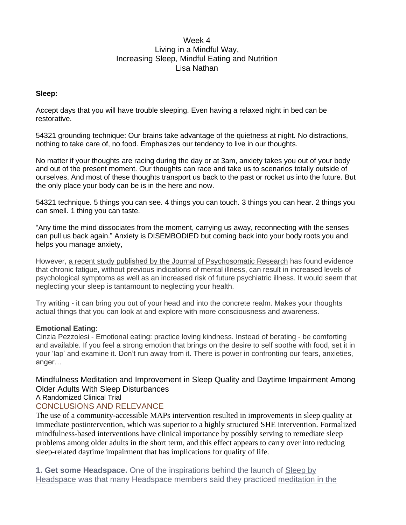## Week 4 Living in a Mindful Way, Increasing Sleep, Mindful Eating and Nutrition Lisa Nathan

#### **Sleep:**

Accept days that you will have trouble sleeping. Even having a relaxed night in bed can be restorative.

54321 grounding technique: Our brains take advantage of the quietness at night. No distractions, nothing to take care of, no food. Emphasizes our tendency to live in our thoughts.

No matter if your thoughts are racing during the day or at 3am, anxiety takes you out of your body and out of the present moment. Our thoughts can race and take us to scenarios totally outside of ourselves. And most of these thoughts transport us back to the past or rocket us into the future. But the only place your body can be is in the here and now.

54321 technique. 5 things you can see. 4 things you can touch. 3 things you can hear. 2 things you can smell. 1 thing you can taste.

"Any time the mind dissociates from the moment, carrying us away, reconnecting with the senses can pull us back again." Anxiety is DISEMBODIED but coming back into your body roots you and helps you manage anxiety,

However, a recent study published by the Journal of [Psychosomatic](https://www.ncbi.nlm.nih.gov/pmc/articles/PMC3500687/#bib3) Research has found evidence that chronic fatigue, without previous indications of mental illness, can result in increased levels of psychological symptoms as well as an increased risk of future psychiatric illness. It would seem that neglecting your sleep is tantamount to neglecting your health.

Try writing - it can bring you out of your head and into the concrete realm. Makes your thoughts actual things that you can look at and explore with more consciousness and awareness.

### **Emotional Eating:**

Cinzia Pezzolesi - Emotional eating: practice loving kindness. Instead of berating - be comforting and available. If you feel a strong emotion that brings on the desire to self soothe with food, set it in your 'lap' and examine it. Don't run away from it. There is power in confronting our fears, anxieties, anger…

Mindfulness Meditation and Improvement in Sleep Quality and Daytime Impairment Among Older Adults With Sleep Disturbances A Randomized Clinical Trial

# CONCLUSIONS AND RELEVANCE

The use of a community-accessible MAPs intervention resulted in improvements in sleep quality at immediate postintervention, which was superior to a highly structured SHE intervention. Formalized mindfulness-based interventions have clinical importance by possibly serving to remediate sleep problems among older adults in the short term, and this effect appears to carry over into reducing sleep-related daytime impairment that has implications for quality of life.

**1. Get some Headspace.** One of the inspirations behind the launch of [Sleep](https://www.headspace.com/sleep/sleep-by-headspace) by [Headspace](https://www.headspace.com/sleep/sleep-by-headspace) was that many Headspace members said they practiced [meditation](https://www.headspace.com/meditation/sleep) in the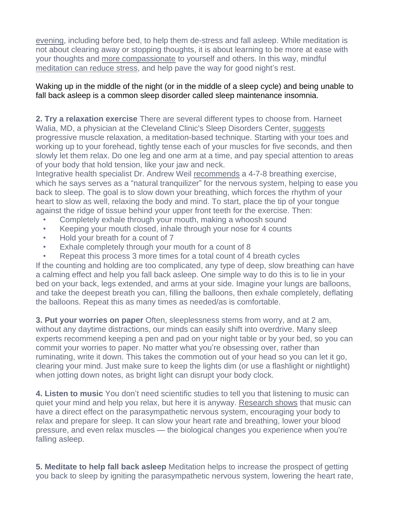[evening,](https://www.headspace.com/meditation/sleep) including before bed, to help them de-stress and fall asleep. While meditation is not about clearing away or stopping thoughts, it is about learning to be more at ease with your thoughts and more [compassionate](https://www.headspace.com/meditation/compassion) to yourself and others. In this way, mindful [meditation](https://www.headspace.com/meditation/stress) can reduce stress, and help pave the way for good night's rest.

## Waking up in the middle of the night (or in the middle of a sleep cycle) and being unable to fall back asleep is a common sleep disorder called sleep maintenance insomnia.

**2. Try a relaxation exercise** There are several different types to choose from. Harneet Walia, MD, a physician at the Cleveland Clinic's Sleep Disorders Center, [suggests](https://health.usnews.com/health-news/health-wellness/articles/2014/01/10/how-to-fall-asleep-when-its-4-am-and-youre-wide-awake) progressive muscle relaxation, a meditation-based technique. Starting with your toes and working up to your forehead, tightly tense each of your muscles for five seconds, and then slowly let them relax. Do one leg and one arm at a time, and pay special attention to areas of your body that hold tension, like your jaw and neck.

Integrative health specialist Dr. Andrew Weil [recommends](https://www.alaskasleep.com/blog/yoga-breathing-exercies-calm-relaxed-state-dr.-andrew-weil-4-7-8-method) a 4-7-8 breathing exercise, which he says serves as a "natural tranquilizer" for the nervous system, helping to ease you back to sleep. The goal is to slow down your breathing, which forces the rhythm of your heart to slow as well, relaxing the body and mind. To start, place the tip of your tongue against the ridge of tissue behind your upper front teeth for the exercise. Then:

- Completely exhale through your mouth, making a whoosh sound
- Keeping your mouth closed, inhale through your nose for 4 counts
- Hold your breath for a count of 7
- Exhale completely through your mouth for a count of 8
- Repeat this process 3 more times for a total count of 4 breath cycles

If the counting and holding are too complicated, any type of deep, slow breathing can have a calming effect and help you fall back asleep. One simple way to do this is to lie in your bed on your back, legs extended, and arms at your side. Imagine your lungs are balloons, and take the deepest breath you can, filling the balloons, then exhale completely, deflating the balloons. Repeat this as many times as needed/as is comfortable.

**3. Put your worries on paper** Often, sleeplessness stems from worry, and at 2 am, without any daytime distractions, our minds can easily shift into overdrive. Many sleep experts recommend keeping a pen and pad on your night table or by your bed, so you can commit your worries to paper. No matter what you're obsessing over, rather than ruminating, write it down. This takes the commotion out of your head so you can let it go, clearing your mind. Just make sure to keep the lights dim (or use a flashlight or nightlight) when jotting down notes, as bright light can disrupt your body clock.

**4. Listen to music** You don't need scientific studies to tell you that listening to music can quiet your mind and help you relax, but here it is anyway. [Research](https://www.sleepfoundation.org/articles/can-music-help-you-calm-down-and-sleep-better) shows that music can have a direct effect on the parasympathetic nervous system, encouraging your body to relax and prepare for sleep. It can slow your heart rate and breathing, lower your blood pressure, and even relax muscles — the biological changes you experience when you're falling asleep.

**5. Meditate to help fall back asleep** Meditation helps to increase the prospect of getting you back to sleep by igniting the parasympathetic nervous system, lowering the heart rate,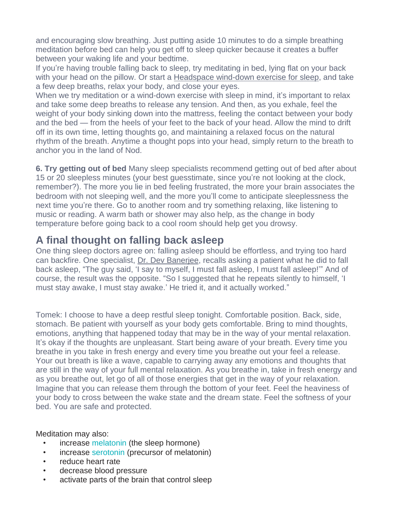and encouraging slow breathing. Just putting aside 10 minutes to do a simple breathing meditation before bed can help you get off to sleep quicker because it creates a buffer between your waking life and your bedtime.

If you're having trouble falling back to sleep, try meditating in bed, lying flat on your back with your head on the pillow. Or start a [Headspace](https://www.youtube.com/watch?v=3o9etQktCpI) wind-down exercise for sleep, and take a few deep breaths, relax your body, and close your eyes.

When we try meditation or a wind-down exercise with sleep in mind, it's important to relax and take some deep breaths to release any tension. And then, as you exhale, feel the weight of your body sinking down into the mattress, feeling the contact between your body and the bed — from the heels of your feet to the back of your head. Allow the mind to drift off in its own time, letting thoughts go, and maintaining a relaxed focus on the natural rhythm of the breath. Anytime a thought pops into your head, simply return to the breath to anchor you in the land of Nod.

**6. Try getting out of bed** Many sleep specialists recommend getting out of bed after about 15 or 20 sleepless minutes (your best guesstimate, since you're not looking at the clock, remember?). The more you lie in bed feeling frustrated, the more your brain associates the bedroom with not sleeping well, and the more you'll come to anticipate sleeplessness the next time you're there. Go to another room and try something relaxing, like listening to music or reading. A warm bath or shower may also help, as the change in body temperature before going back to a cool room should help get you drowsy.

# **A final thought on falling back asleep**

One thing sleep doctors agree on: falling asleep should be effortless, and trying too hard can backfire. One specialist, Dr. Dev [Banerjee,](https://woolcock.org.au/dev-banerjee) recalls asking a patient what he did to fall back asleep, "The guy said, 'I say to myself, I must fall asleep, I must fall asleep!'" And of course, the result was the opposite. "So I suggested that he repeats silently to himself, 'I must stay awake, I must stay awake.' He tried it, and it actually worked."

Tomek: I choose to have a deep restful sleep tonight. Comfortable position. Back, side, stomach. Be patient with yourself as your body gets comfortable. Bring to mind thoughts, emotions, anything that happened today that may be in the way of your mental relaxation. It's okay if the thoughts are unpleasant. Start being aware of your breath. Every time you breathe in you take in fresh energy and every time you breathe out your feel a release. Your out breath is like a wave, capable to carrying away any emotions and thoughts that are still in the way of your full mental relaxation. As you breathe in, take in fresh energy and as you breathe out, let go of all of those energies that get in the way of your relaxation. Imagine that you can release them through the bottom of your feet. Feel the heaviness of your body to cross between the wake state and the dream state. Feel the softness of your bed. You are safe and protected.

Meditation may also:

- increase [melatonin](https://www.healthline.com/nutrition/melatonin) (the sleep hormone)
- increase [serotonin](https://www.healthline.com/health/mental-health/serotonin) (precursor of melatonin)
- reduce heart rate
- decrease blood pressure
- activate parts of the brain that control sleep